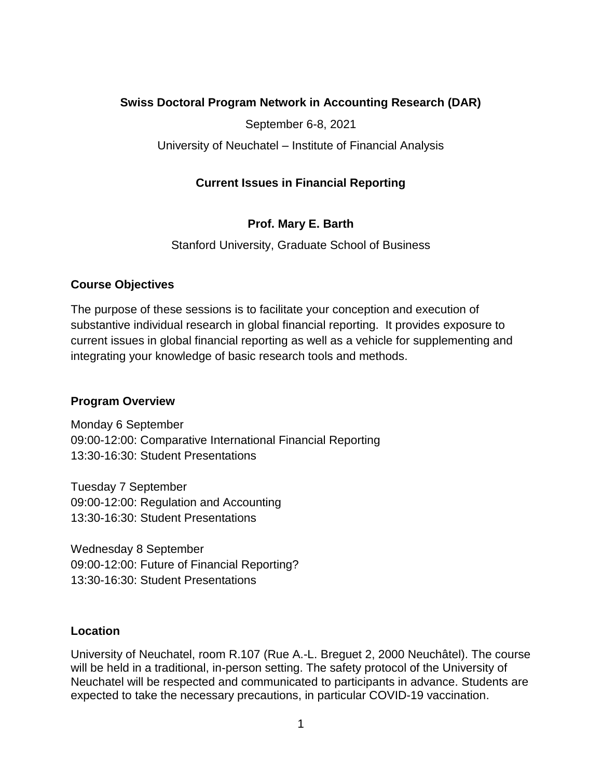## **Swiss Doctoral Program Network in Accounting Research (DAR)**

September 6-8, 2021

University of Neuchatel – Institute of Financial Analysis

## **Current Issues in Financial Reporting**

# **Prof. Mary E. Barth**

Stanford University, Graduate School of Business

## **Course Objectives**

The purpose of these sessions is to facilitate your conception and execution of substantive individual research in global financial reporting. It provides exposure to current issues in global financial reporting as well as a vehicle for supplementing and integrating your knowledge of basic research tools and methods.

## **Program Overview**

Monday 6 September 09:00-12:00: Comparative International Financial Reporting 13:30-16:30: Student Presentations

Tuesday 7 September 09:00-12:00: Regulation and Accounting 13:30-16:30: Student Presentations

Wednesday 8 September 09:00-12:00: Future of Financial Reporting? 13:30-16:30: Student Presentations

## **Location**

University of Neuchatel, room R.107 (Rue A.-L. Breguet 2, 2000 Neuchâtel). The course will be held in a traditional, in-person setting. The safety protocol of the University of Neuchatel will be respected and communicated to participants in advance. Students are expected to take the necessary precautions, in particular COVID-19 vaccination.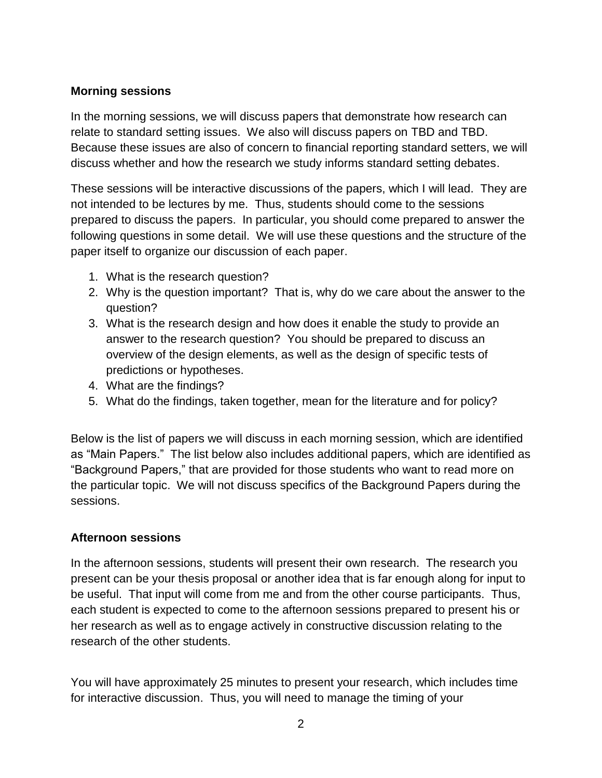## **Morning sessions**

In the morning sessions, we will discuss papers that demonstrate how research can relate to standard setting issues. We also will discuss papers on TBD and TBD. Because these issues are also of concern to financial reporting standard setters, we will discuss whether and how the research we study informs standard setting debates.

These sessions will be interactive discussions of the papers, which I will lead. They are not intended to be lectures by me. Thus, students should come to the sessions prepared to discuss the papers. In particular, you should come prepared to answer the following questions in some detail. We will use these questions and the structure of the paper itself to organize our discussion of each paper.

- 1. What is the research question?
- 2. Why is the question important? That is, why do we care about the answer to the question?
- 3. What is the research design and how does it enable the study to provide an answer to the research question? You should be prepared to discuss an overview of the design elements, as well as the design of specific tests of predictions or hypotheses.
- 4. What are the findings?
- 5. What do the findings, taken together, mean for the literature and for policy?

Below is the list of papers we will discuss in each morning session, which are identified as "Main Papers." The list below also includes additional papers, which are identified as "Background Papers," that are provided for those students who want to read more on the particular topic. We will not discuss specifics of the Background Papers during the sessions.

## **Afternoon sessions**

In the afternoon sessions, students will present their own research. The research you present can be your thesis proposal or another idea that is far enough along for input to be useful. That input will come from me and from the other course participants. Thus, each student is expected to come to the afternoon sessions prepared to present his or her research as well as to engage actively in constructive discussion relating to the research of the other students.

You will have approximately 25 minutes to present your research, which includes time for interactive discussion. Thus, you will need to manage the timing of your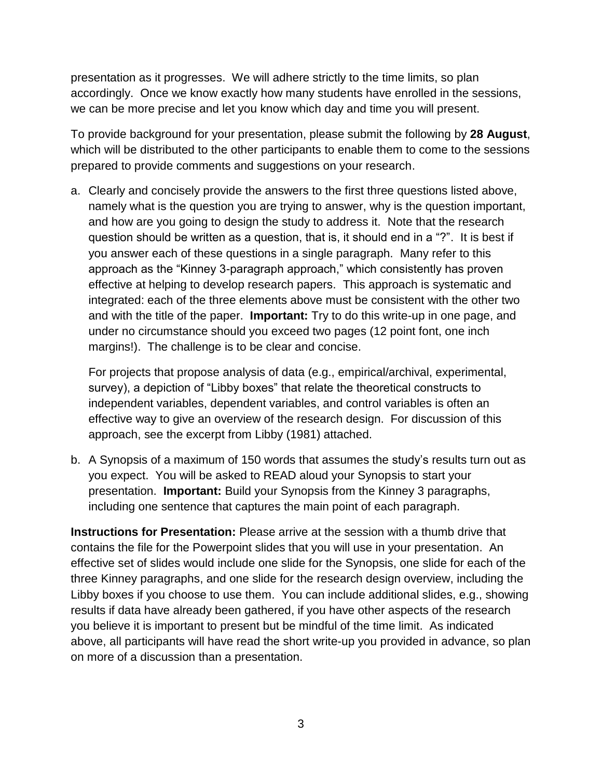presentation as it progresses. We will adhere strictly to the time limits, so plan accordingly. Once we know exactly how many students have enrolled in the sessions, we can be more precise and let you know which day and time you will present.

To provide background for your presentation, please submit the following by **28 August**, which will be distributed to the other participants to enable them to come to the sessions prepared to provide comments and suggestions on your research.

a. Clearly and concisely provide the answers to the first three questions listed above, namely what is the question you are trying to answer, why is the question important, and how are you going to design the study to address it. Note that the research question should be written as a question, that is, it should end in a "?". It is best if you answer each of these questions in a single paragraph. Many refer to this approach as the "Kinney 3-paragraph approach," which consistently has proven effective at helping to develop research papers. This approach is systematic and integrated: each of the three elements above must be consistent with the other two and with the title of the paper. **Important:** Try to do this write-up in one page, and under no circumstance should you exceed two pages (12 point font, one inch margins!). The challenge is to be clear and concise.

For projects that propose analysis of data (e.g., empirical/archival, experimental, survey), a depiction of "Libby boxes" that relate the theoretical constructs to independent variables, dependent variables, and control variables is often an effective way to give an overview of the research design. For discussion of this approach, see the excerpt from Libby (1981) attached.

b. A Synopsis of a maximum of 150 words that assumes the study's results turn out as you expect. You will be asked to READ aloud your Synopsis to start your presentation. **Important:** Build your Synopsis from the Kinney 3 paragraphs, including one sentence that captures the main point of each paragraph.

**Instructions for Presentation:** Please arrive at the session with a thumb drive that contains the file for the Powerpoint slides that you will use in your presentation. An effective set of slides would include one slide for the Synopsis, one slide for each of the three Kinney paragraphs, and one slide for the research design overview, including the Libby boxes if you choose to use them. You can include additional slides, e.g., showing results if data have already been gathered, if you have other aspects of the research you believe it is important to present but be mindful of the time limit. As indicated above, all participants will have read the short write-up you provided in advance, so plan on more of a discussion than a presentation.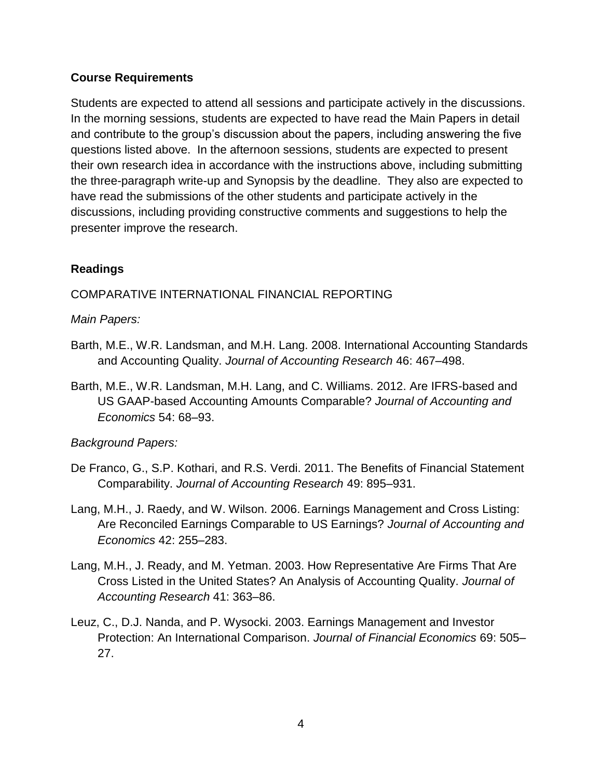#### **Course Requirements**

Students are expected to attend all sessions and participate actively in the discussions. In the morning sessions, students are expected to have read the Main Papers in detail and contribute to the group's discussion about the papers, including answering the five questions listed above. In the afternoon sessions, students are expected to present their own research idea in accordance with the instructions above, including submitting the three-paragraph write-up and Synopsis by the deadline. They also are expected to have read the submissions of the other students and participate actively in the discussions, including providing constructive comments and suggestions to help the presenter improve the research.

## **Readings**

## COMPARATIVE INTERNATIONAL FINANCIAL REPORTING

#### *Main Papers:*

- Barth, M.E., W.R. Landsman, and M.H. Lang. 2008. International Accounting Standards and Accounting Quality. *Journal of Accounting Research* 46: 467–498.
- Barth, M.E., W.R. Landsman, M.H. Lang, and C. Williams. 2012. Are IFRS-based and US GAAP-based Accounting Amounts Comparable? *Journal of Accounting and Economics* 54: 68–93.

## *Background Papers:*

- De Franco, G., S.P. Kothari, and R.S. Verdi. 2011. The Benefits of Financial Statement Comparability. *Journal of Accounting Research* 49: 895–931.
- Lang, M.H., J. Raedy, and W. Wilson. 2006. Earnings Management and Cross Listing: Are Reconciled Earnings Comparable to US Earnings? *Journal of Accounting and Economics* 42: 255–283.
- Lang, M.H., J. Ready, and M. Yetman. 2003. How Representative Are Firms That Are Cross Listed in the United States? An Analysis of Accounting Quality. *Journal of Accounting Research* 41: 363–86.
- Leuz, C., D.J. Nanda, and P. Wysocki. 2003. Earnings Management and Investor Protection: An International Comparison. *Journal of Financial Economics* 69: 505– 27.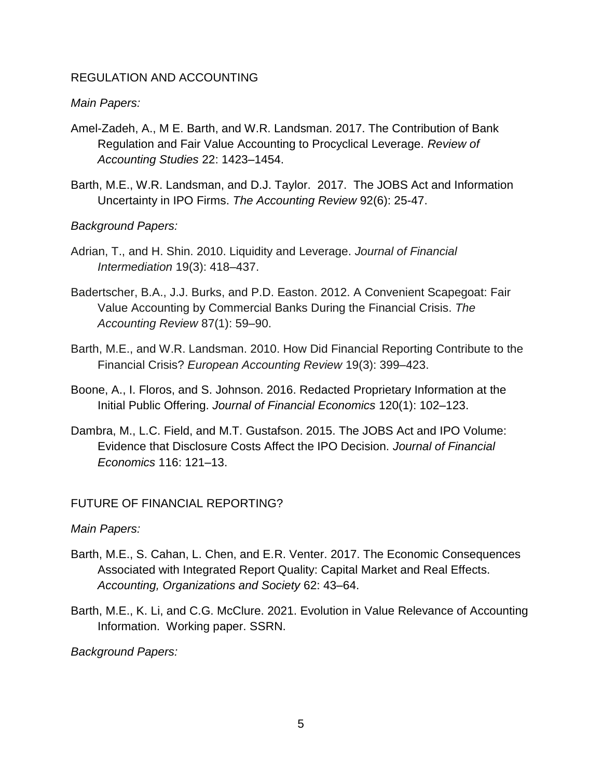#### REGULATION AND ACCOUNTING

#### *Main Papers:*

- Amel-Zadeh, A., M E. Barth, and W.R. Landsman. 2017. The Contribution of Bank Regulation and Fair Value Accounting to Procyclical Leverage. *Review of Accounting Studies* 22: 1423–1454.
- Barth, M.E., W.R. Landsman, and D.J. Taylor. 2017. The JOBS Act and Information Uncertainty in IPO Firms. *The Accounting Review* 92(6): 25-47.

#### *Background Papers:*

- Adrian, T., and H. Shin. 2010. Liquidity and Leverage. *Journal of Financial Intermediation* 19(3): 418–437.
- Badertscher, B.A., J.J. Burks, and P.D. Easton. 2012. A Convenient Scapegoat: Fair Value Accounting by Commercial Banks During the Financial Crisis. *The Accounting Review* 87(1): 59–90.
- Barth, M.E., and W.R. Landsman. 2010. How Did Financial Reporting Contribute to the Financial Crisis? *European Accounting Review* 19(3): 399–423.
- Boone, A., I. Floros, and S. Johnson. 2016. Redacted Proprietary Information at the Initial Public Offering. *Journal of Financial Economics* 120(1): 102–123.
- Dambra, M., L.C. Field, and M.T. Gustafson. 2015. The JOBS Act and IPO Volume: Evidence that Disclosure Costs Affect the IPO Decision. *Journal of Financial Economics* 116: 121–13.

## FUTURE OF FINANCIAL REPORTING?

*Main Papers:*

- Barth, M.E., S. Cahan, L. Chen, and E.R. Venter. 2017. The Economic Consequences Associated with Integrated Report Quality: Capital Market and Real Effects. *Accounting, Organizations and Society* 62: 43–64.
- Barth, M.E., K. Li, and C.G. McClure. 2021. Evolution in Value Relevance of Accounting Information. Working paper. SSRN.

*Background Papers:*